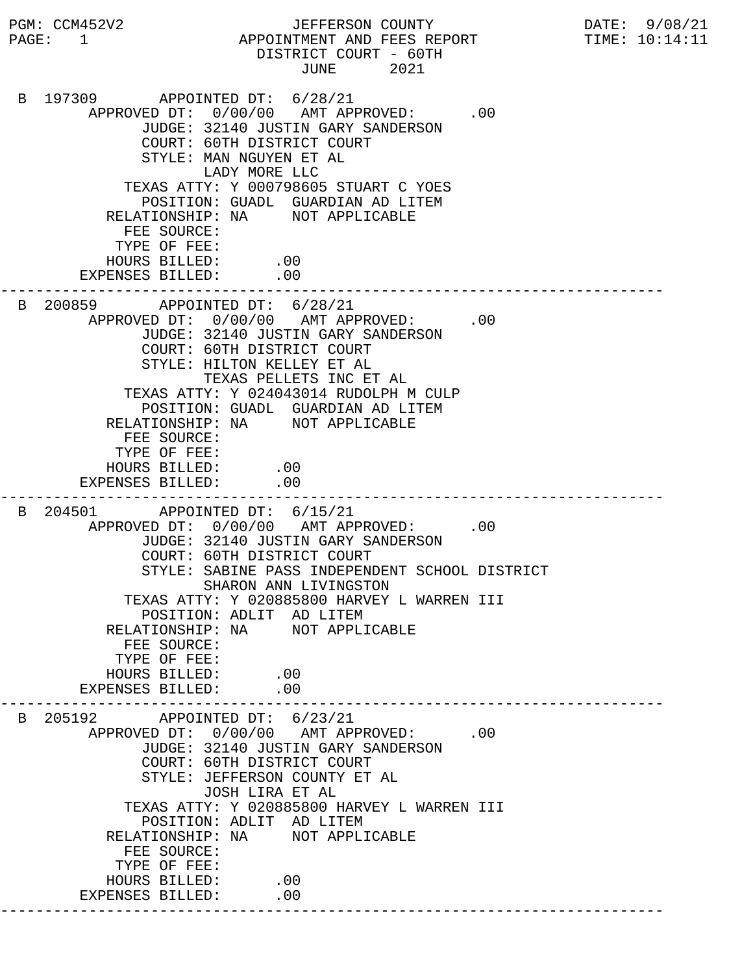PGM: CCM452V2 JEFFERSON COUNTY DATE: 9/08/21 PAGE: 1 APPOINTMENT AND FEES REPORT TIME: 10:14:11 DISTRICT COURT - 60TH JUNE 2021 B 197309 APPOINTED DT: 6/28/21 APPROVED DT:  $0/00/00$  AMT APPROVED: .00 JUDGE: 32140 JUSTIN GARY SANDERSON COURT: 60TH DISTRICT COURT STYLE: MAN NGUYEN ET AL LADY MORE LLC TEXAS ATTY: Y 000798605 STUART C YOES POSITION: GUADL GUARDIAN AD LITEM RELATIONSHIP: NA NOT APPLICABLE FEE SOURCE: TYPE OF FEE: HOURS BILLED: .00 EXPENSES BILLED: .00 --------------------------------------------------------------------------- B 200859 APPOINTED DT: 6/28/21 APPROVED DT:  $0/00/00$  AMT APPROVED: .00 JUDGE: 32140 JUSTIN GARY SANDERSON COURT: 60TH DISTRICT COURT STYLE: HILTON KELLEY ET AL TEXAS PELLETS INC ET AL TEXAS ATTY: Y 024043014 RUDOLPH M CULP POSITION: GUADL GUARDIAN AD LITEM RELATIONSHIP: NA NOT APPLICABLE FEE SOURCE: TYPE OF FEE: HOURS BILLED: .00 EXPENSES BILLED: .00 --------------------------------------------------------------------------- B 204501 APPOINTED DT: 6/15/21 APPROVED DT:  $0/00/00$  AMT APPROVED: .00 JUDGE: 32140 JUSTIN GARY SANDERSON COURT: 60TH DISTRICT COURT STYLE: SABINE PASS INDEPENDENT SCHOOL DISTRICT SHARON ANN LIVINGSTON TEXAS ATTY: Y 020885800 HARVEY L WARREN III POSITION: ADLIT AD LITEM RELATIONSHIP: NA NOT APPLICABLE FEE SOURCE: TYPE OF FEE: HOURS BILLED: .00<br>PENSES BILLED: .00 EXPENSES BILLED: --------------------------------------------------------------------------- B 205192 APPOINTED DT: 6/23/21 APPROVED DT:  $0/00/00$  AMT APPROVED: .00 JUDGE: 32140 JUSTIN GARY SANDERSON COURT: 60TH DISTRICT COURT STYLE: JEFFERSON COUNTY ET AL JOSH LIRA ET AL TEXAS ATTY: Y 020885800 HARVEY L WARREN III POSITION: ADLIT AD LITEM RELATIONSHIP: NA NOT APPLICABLE FEE SOURCE: TYPE OF FEE: HOURS BILLED: .00 EXPENSES BILLED: .00 ---------------------------------------------------------------------------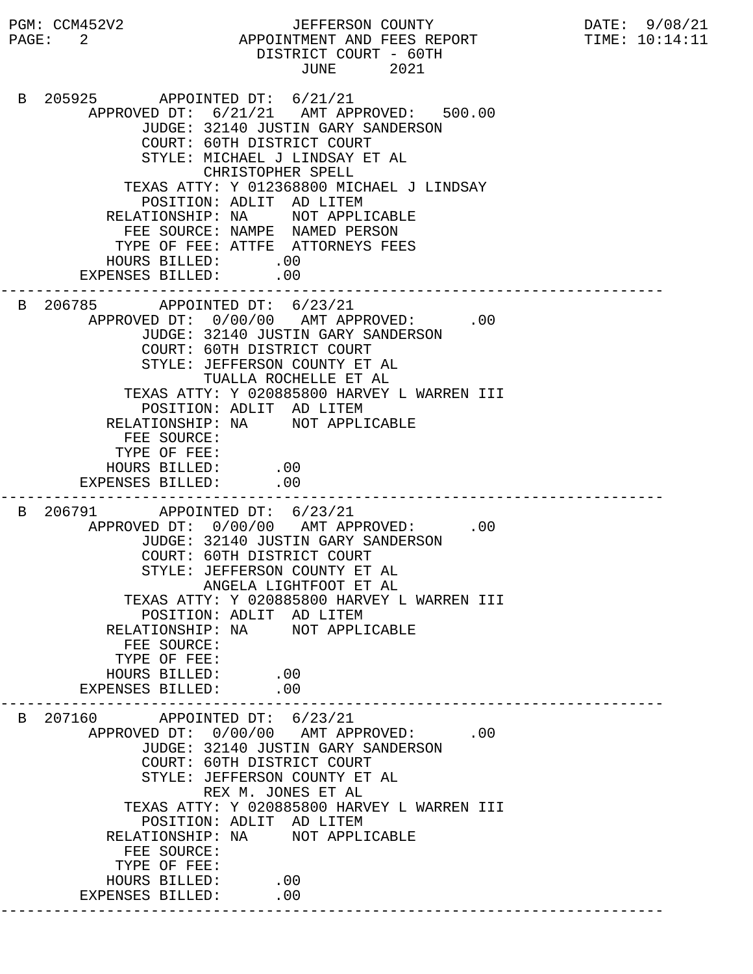PGM: CCM452V2 JEFFERSON COUNTY DATE: 9/08/21 PAGE: 2 APPOINTMENT AND FEES REPORT TIME:  $10:14:11$  DISTRICT COURT - 60TH JUNE 2021 B 205925 APPOINTED DT: 6/21/21 APPROVED DT: 6/21/21 AMT APPROVED: 500.00 JUDGE: 32140 JUSTIN GARY SANDERSON COURT: 60TH DISTRICT COURT STYLE: MICHAEL J LINDSAY ET AL CHRISTOPHER SPELL TEXAS ATTY: Y 012368800 MICHAEL J LINDSAY POSITION: ADLIT AD LITEM RELATIONSHIP: NA NOT APPLICABLE FEE SOURCE: NAMPE NAMED PERSON TYPE OF FEE: ATTFE ATTORNEYS FEES HOURS BILLED: .00 EXPENSES BILLED: .00 --------------------------------------------------------------------------- B 206785 APPOINTED DT: 6/23/21 APPROVED DT:  $0/00/00$  AMT APPROVED: .00 JUDGE: 32140 JUSTIN GARY SANDERSON COURT: 60TH DISTRICT COURT STYLE: JEFFERSON COUNTY ET AL TUALLA ROCHELLE ET AL TEXAS ATTY: Y 020885800 HARVEY L WARREN III POSITION: ADLIT AD LITEM RELATIONSHIP: NA NOT APPLICABLE FEE SOURCE: TYPE OF FEE: HOURS BILLED: .00 EXPENSES BILLED: .00 --------------------------------------------------------------------------- B 206791 APPOINTED DT: 6/23/21 APPROVED DT:  $0/00/00$  AMT APPROVED: .00 JUDGE: 32140 JUSTIN GARY SANDERSON COURT: 60TH DISTRICT COURT STYLE: JEFFERSON COUNTY ET AL ANGELA LIGHTFOOT ET AL TEXAS ATTY: Y 020885800 HARVEY L WARREN III POSITION: ADLIT AD LITEM RELATIONSHIP: NA NOT APPLICABLE FEE SOURCE: TYPE OF FEE: HOURS BILLED: .00<br>ENSES BILLED: .00 EXPENSES BILLED: --------------------------------------------------------------------------- B 207160 APPOINTED DT: 6/23/21 APPROVED DT:  $0/00/00$  AMT APPROVED: .00 JUDGE: 32140 JUSTIN GARY SANDERSON COURT: 60TH DISTRICT COURT STYLE: JEFFERSON COUNTY ET AL REX M. JONES ET AL TEXAS ATTY: Y 020885800 HARVEY L WARREN III POSITION: ADLIT AD LITEM RELATIONSHIP: NA NOT APPLICABLE FEE SOURCE: TYPE OF FEE: HOURS BILLED: .00 EXPENSES BILLED: .00 ---------------------------------------------------------------------------